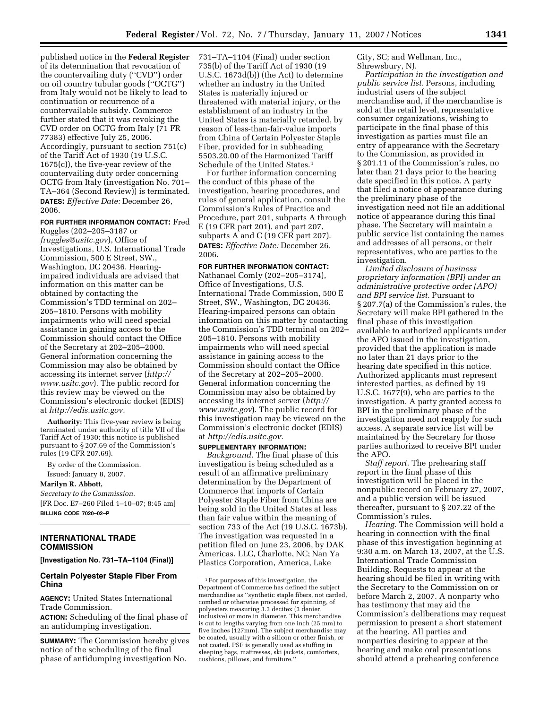published notice in the **Federal Register**  of its determination that revocation of the countervailing duty (''CVD'') order on oil country tubular goods (''OCTG'') from Italy would not be likely to lead to continuation or recurrence of a countervailable subsidy. Commerce further stated that it was revoking the CVD order on OCTG from Italy (71 FR 77383) effective July 25, 2006. Accordingly, pursuant to section 751(c) of the Tariff Act of 1930 (19 U.S.C. 1675(c)), the five-year review of the countervailing duty order concerning OCTG from Italy (investigation No. 701– TA–364 (Second Review)) is terminated. **DATES:** *Effective Date:* December 26, 2006.

# **FOR FURTHER INFORMATION CONTACT:** Fred

Ruggles (202–205–3187 or *fruggles@usitc.gov*), Office of Investigations, U.S. International Trade Commission, 500 E Street, SW., Washington, DC 20436. Hearingimpaired individuals are advised that information on this matter can be obtained by contacting the Commission's TDD terminal on 202– 205–1810. Persons with mobility impairments who will need special assistance in gaining access to the Commission should contact the Office of the Secretary at 202–205–2000. General information concerning the Commission may also be obtained by accessing its internet server (*http:// www.usitc.gov*). The public record for this review may be viewed on the Commission's electronic docket (EDIS) at *http://edis.usitc.gov.* 

**Authority:** This five-year review is being terminated under authority of title VII of the Tariff Act of 1930; this notice is published pursuant to § 207.69 of the Commission's rules (19 CFR 207.69).

By order of the Commission. Issued: January 8, 2007.

**Marilyn R. Abbott,** 

*Secretary to the Commission.*  [FR Doc. E7–260 Filed 1–10–07; 8:45 am] **BILLING CODE 7020–02–P** 

# **INTERNATIONAL TRADE COMMISSION**

**[Investigation No. 731–TA–1104 (Final)]** 

# **Certain Polyester Staple Fiber From China**

**AGENCY:** United States International Trade Commission.

**ACTION:** Scheduling of the final phase of an antidumping investigation.

**SUMMARY:** The Commission hereby gives notice of the scheduling of the final phase of antidumping investigation No.

731–TA–1104 (Final) under section 735(b) of the Tariff Act of 1930 (19 U.S.C. 1673d(b)) (the Act) to determine whether an industry in the United States is materially injured or threatened with material injury, or the establishment of an industry in the United States is materially retarded, by reason of less-than-fair-value imports from China of Certain Polyester Staple Fiber, provided for in subheading 5503.20.00 of the Harmonized Tariff Schedule of the United States.<sup>1</sup>

For further information concerning the conduct of this phase of the investigation, hearing procedures, and rules of general application, consult the Commission's Rules of Practice and Procedure, part 201, subparts A through E (19 CFR part 201), and part 207, subparts A and C (19 CFR part 207). **DATES:** *Effective Date:* December 26, 2006.

#### **FOR FURTHER INFORMATION CONTACT:**

Nathanael Comly (202–205–3174), Office of Investigations, U.S. International Trade Commission, 500 E Street, SW., Washington, DC 20436. Hearing-impaired persons can obtain information on this matter by contacting the Commission's TDD terminal on 202– 205–1810. Persons with mobility impairments who will need special assistance in gaining access to the Commission should contact the Office of the Secretary at 202–205–2000. General information concerning the Commission may also be obtained by accessing its internet server (*http:// www.usitc.gov*). The public record for this investigation may be viewed on the Commission's electronic docket (EDIS) at *http://edis.usitc.gov.* 

**SUPPLEMENTARY INFORMATION:** 

*Background.* The final phase of this investigation is being scheduled as a result of an affirmative preliminary determination by the Department of Commerce that imports of Certain Polyester Staple Fiber from China are being sold in the United States at less than fair value within the meaning of section 733 of the Act (19 U.S.C. 1673b). The investigation was requested in a petition filed on June 23, 2006, by DAK Americas, LLC, Charlotte, NC; Nan Ya Plastics Corporation, America, Lake

City, SC; and Wellman, Inc., Shrewsbury, NJ.

*Participation in the investigation and public service list.* Persons, including industrial users of the subject merchandise and, if the merchandise is sold at the retail level, representative consumer organizations, wishing to participate in the final phase of this investigation as parties must file an entry of appearance with the Secretary to the Commission, as provided in § 201.11 of the Commission's rules, no later than 21 days prior to the hearing date specified in this notice. A party that filed a notice of appearance during the preliminary phase of the investigation need not file an additional notice of appearance during this final phase. The Secretary will maintain a public service list containing the names and addresses of all persons, or their representatives, who are parties to the investigation.

*Limited disclosure of business proprietary information (BPI) under an administrative protective order (APO) and BPI service list.* Pursuant to § 207.7(a) of the Commission's rules, the Secretary will make BPI gathered in the final phase of this investigation available to authorized applicants under the APO issued in the investigation, provided that the application is made no later than 21 days prior to the hearing date specified in this notice. Authorized applicants must represent interested parties, as defined by 19 U.S.C. 1677(9), who are parties to the investigation. A party granted access to BPI in the preliminary phase of the investigation need not reapply for such access. A separate service list will be maintained by the Secretary for those parties authorized to receive BPI under the APO.

*Staff report.* The prehearing staff report in the final phase of this investigation will be placed in the nonpublic record on February 27, 2007, and a public version will be issued thereafter, pursuant to § 207.22 of the Commission's rules.

*Hearing.* The Commission will hold a hearing in connection with the final phase of this investigation beginning at 9:30 a.m. on March 13, 2007, at the U.S. International Trade Commission Building. Requests to appear at the hearing should be filed in writing with the Secretary to the Commission on or before March 2, 2007. A nonparty who has testimony that may aid the Commission's deliberations may request permission to present a short statement at the hearing. All parties and nonparties desiring to appear at the hearing and make oral presentations should attend a prehearing conference

<sup>1</sup>For purposes of this investigation, the Department of Commerce has defined the subject merchandise as ''synthetic staple fibers, not carded, combed or otherwise processed for spinning, of polyesters measuring 3.3 decitex (3 denier, inclusive) or more in diameter. This merchandise is cut to lengths varying from one inch (25 mm) to five inches (127mm). The subject merchandise may be coated, usually with a silicon or other finish, or not coated. PSF is generally used as stuffing in sleeping bags, mattresses, ski jackets, comforters, cushions, pillows, and furniture.''